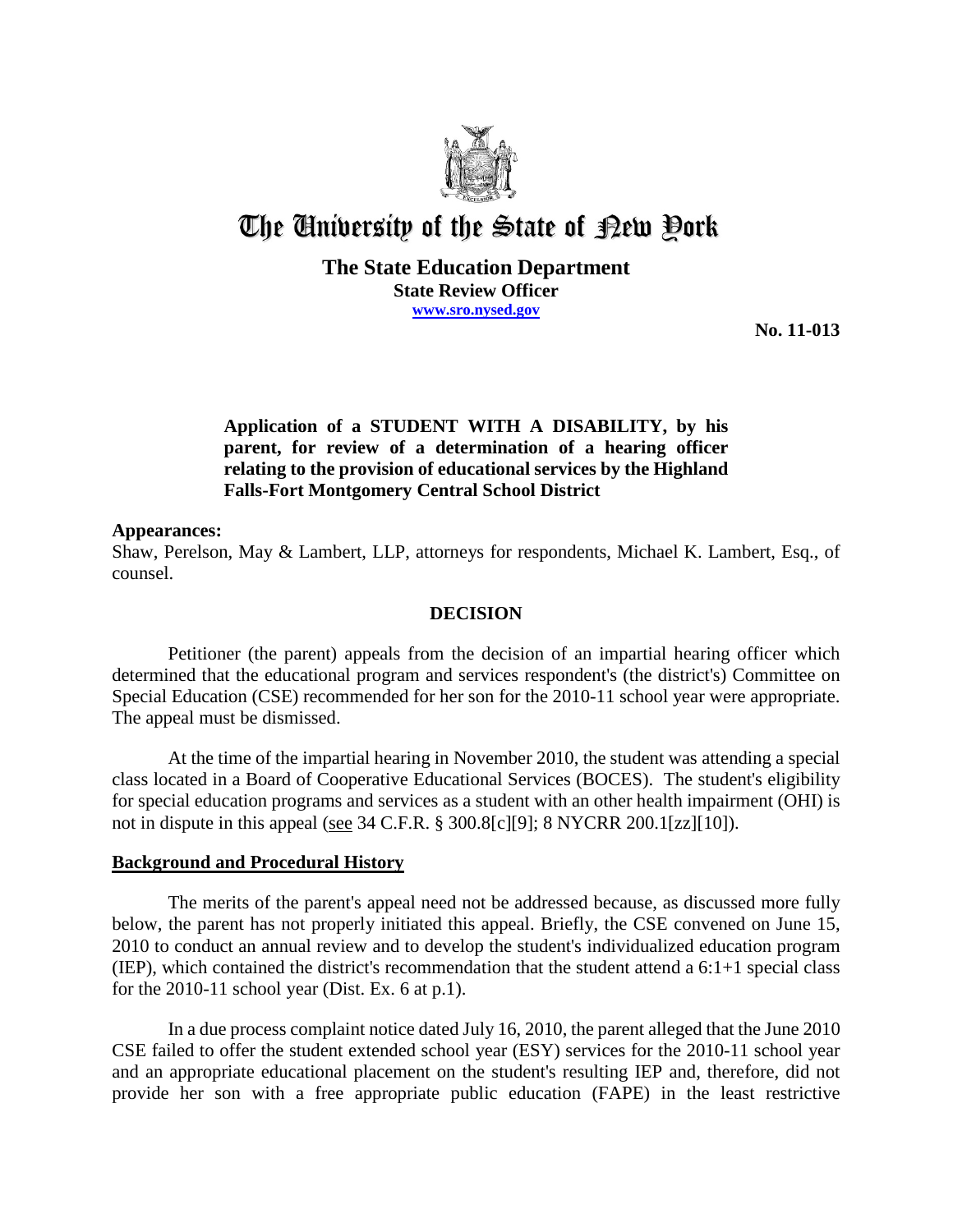

# The University of the State of Pew Pork

#### **The State Education Department State Review Officer www.sro.nysed.gov**

**No. 11-013**

# **Application of a STUDENT WITH A DISABILITY, by his parent, for review of a determination of a hearing officer relating to the provision of educational services by the Highland Falls-Fort Montgomery Central School District**

#### **Appearances:**

Shaw, Perelson, May & Lambert, LLP, attorneys for respondents, Michael K. Lambert, Esq., of counsel.

#### **DECISION**

Petitioner (the parent) appeals from the decision of an impartial hearing officer which determined that the educational program and services respondent's (the district's) Committee on Special Education (CSE) recommended for her son for the 2010-11 school year were appropriate. The appeal must be dismissed.

At the time of the impartial hearing in November 2010, the student was attending a special class located in a Board of Cooperative Educational Services (BOCES). The student's eligibility for special education programs and services as a student with an other health impairment (OHI) is not in dispute in this appeal (see 34 C.F.R. § 300.8[c][9]; 8 NYCRR 200.1[zz][10]).

## **Background and Procedural History**

The merits of the parent's appeal need not be addressed because, as discussed more fully below, the parent has not properly initiated this appeal. Briefly, the CSE convened on June 15, 2010 to conduct an annual review and to develop the student's individualized education program (IEP), which contained the district's recommendation that the student attend a 6:1+1 special class for the 2010-11 school year (Dist. Ex. 6 at p.1).

In a due process complaint notice dated July 16, 2010, the parent alleged that the June 2010 CSE failed to offer the student extended school year (ESY) services for the 2010-11 school year and an appropriate educational placement on the student's resulting IEP and, therefore, did not provide her son with a free appropriate public education (FAPE) in the least restrictive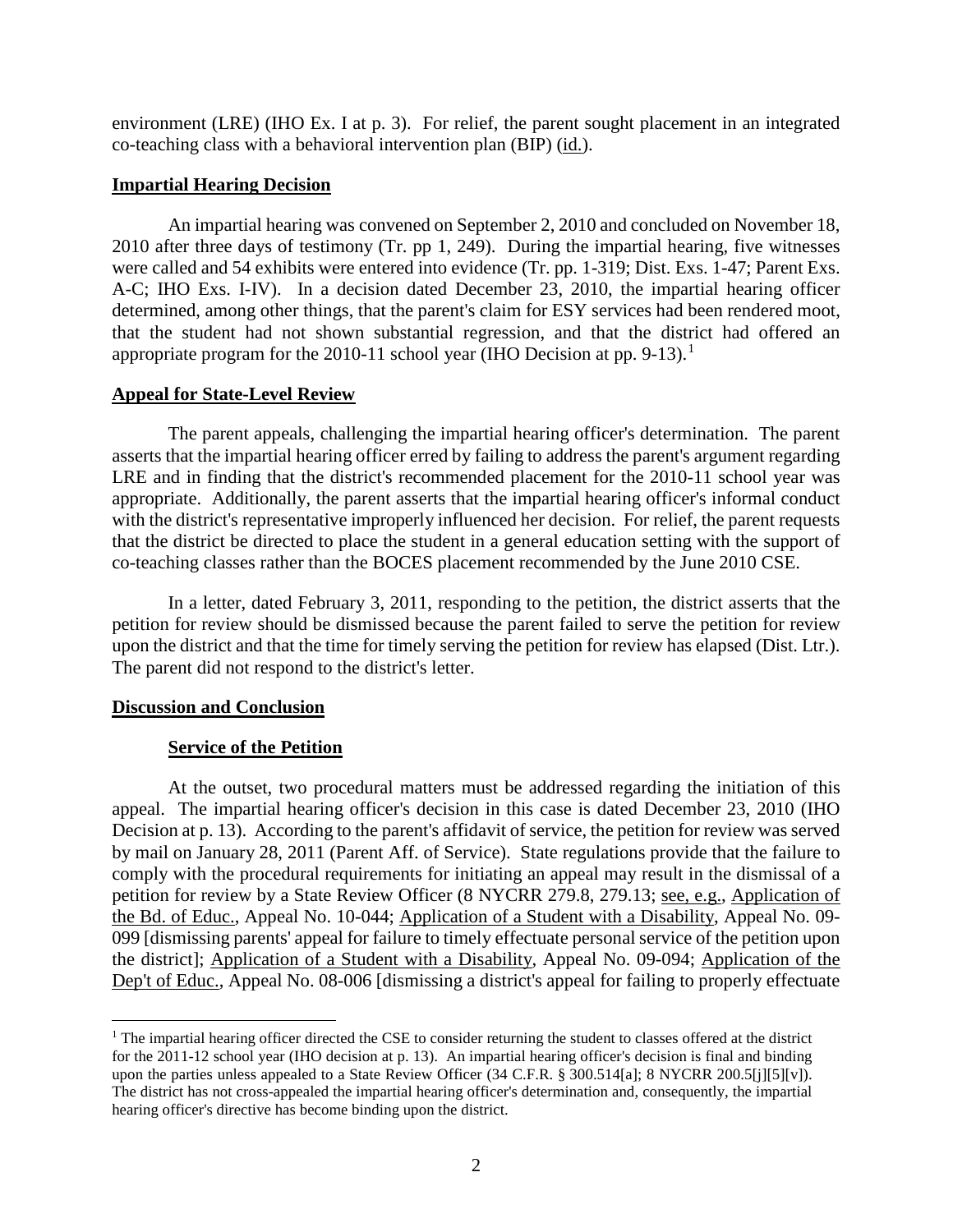environment (LRE) (IHO Ex. I at p. 3). For relief, the parent sought placement in an integrated co-teaching class with a behavioral intervention plan (BIP) (id.).

## **Impartial Hearing Decision**

An impartial hearing was convened on September 2, 2010 and concluded on November 18, 2010 after three days of testimony (Tr. pp 1, 249). During the impartial hearing, five witnesses were called and 54 exhibits were entered into evidence (Tr. pp. 1-319; Dist. Exs. 1-47; Parent Exs. A-C; IHO Exs. I-IV). In a decision dated December 23, 2010, the impartial hearing officer determined, among other things, that the parent's claim for ESY services had been rendered moot, that the student had not shown substantial regression, and that the district had offered an appropriate program for the 2010-11 school year (IHO Decision at pp. 9-13).<sup>1</sup>

## **Appeal for State-Level Review**

The parent appeals, challenging the impartial hearing officer's determination. The parent asserts that the impartial hearing officer erred by failing to address the parent's argument regarding LRE and in finding that the district's recommended placement for the 2010-11 school year was appropriate. Additionally, the parent asserts that the impartial hearing officer's informal conduct with the district's representative improperly influenced her decision. For relief, the parent requests that the district be directed to place the student in a general education setting with the support of co-teaching classes rather than the BOCES placement recommended by the June 2010 CSE.

In a letter, dated February 3, 2011, responding to the petition, the district asserts that the petition for review should be dismissed because the parent failed to serve the petition for review upon the district and that the time for timely serving the petition for review has elapsed (Dist. Ltr.). The parent did not respond to the district's letter.

# **Discussion and Conclusion**

# **Service of the Petition**

At the outset, two procedural matters must be addressed regarding the initiation of this appeal. The impartial hearing officer's decision in this case is dated December 23, 2010 (IHO Decision at p. 13). According to the parent's affidavit of service, the petition for review was served by mail on January 28, 2011 (Parent Aff. of Service). State regulations provide that the failure to comply with the procedural requirements for initiating an appeal may result in the dismissal of a petition for review by a State Review Officer (8 NYCRR 279.8, 279.13; see, e.g., Application of the Bd. of Educ., Appeal No. 10-044; Application of a Student with a Disability, Appeal No. 09- 099 [dismissing parents' appeal for failure to timely effectuate personal service of the petition upon the district]; Application of a Student with a Disability, Appeal No. 09-094; Application of the Dep't of Educ., Appeal No. 08-006 [dismissing a district's appeal for failing to properly effectuate

 $<sup>1</sup>$  The impartial hearing officer directed the CSE to consider returning the student to classes offered at the district</sup> for the 2011-12 school year (IHO decision at p. 13). An impartial hearing officer's decision is final and binding upon the parties unless appealed to a State Review Officer (34 C.F.R. § 300.514[a]; 8 NYCRR 200.5[j][5][v]). The district has not cross-appealed the impartial hearing officer's determination and, consequently, the impartial hearing officer's directive has become binding upon the district.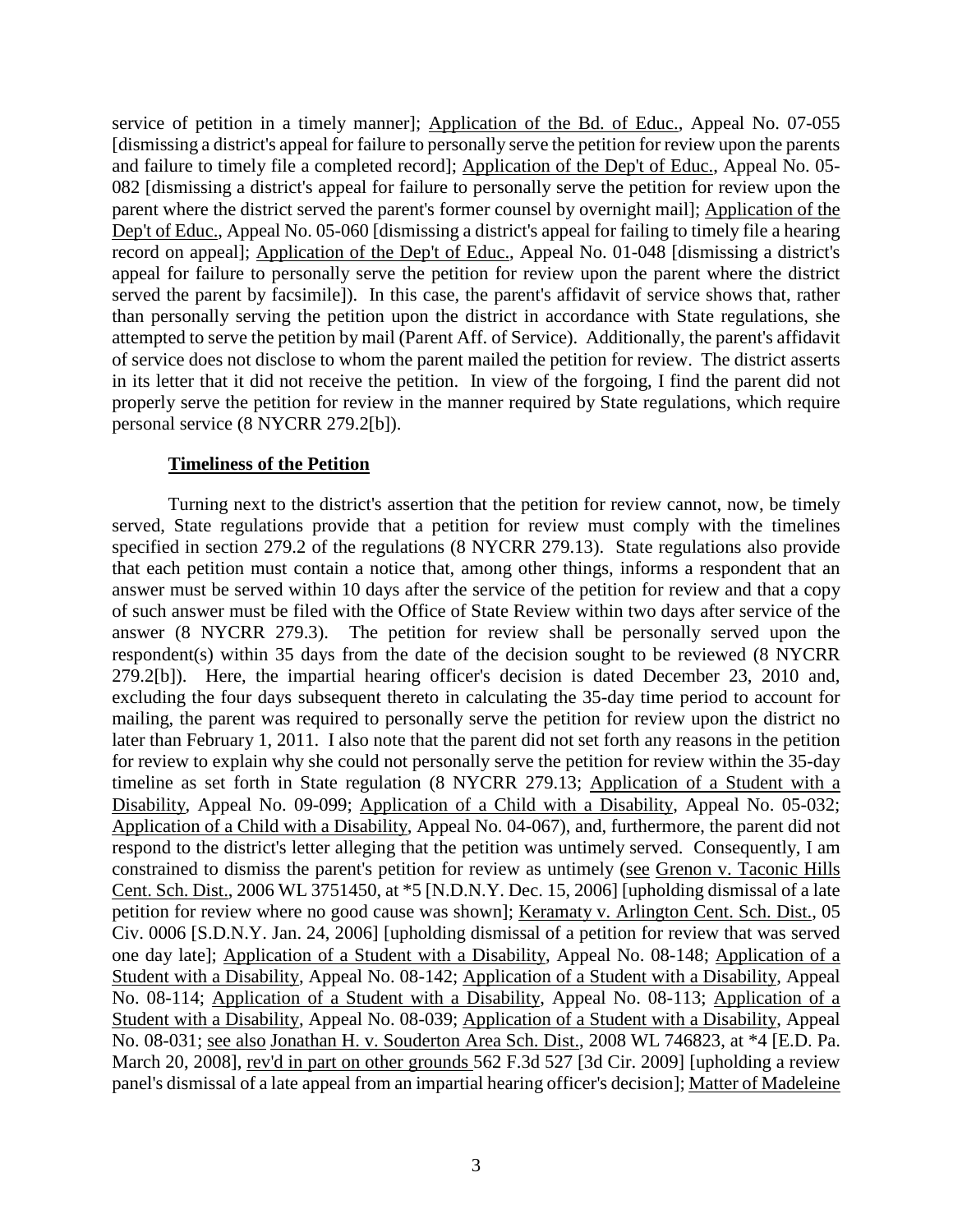service of petition in a timely manner]; Application of the Bd. of Educ., Appeal No. 07-055 [dismissing a district's appeal for failure to personally serve the petition for review upon the parents and failure to timely file a completed record]; Application of the Dep't of Educ., Appeal No. 05- 082 [dismissing a district's appeal for failure to personally serve the petition for review upon the parent where the district served the parent's former counsel by overnight mail]; Application of the Dep't of Educ., Appeal No. 05-060 [dismissing a district's appeal for failing to timely file a hearing record on appeal]; Application of the Dep't of Educ., Appeal No. 01-048 [dismissing a district's appeal for failure to personally serve the petition for review upon the parent where the district served the parent by facsimile]). In this case, the parent's affidavit of service shows that, rather than personally serving the petition upon the district in accordance with State regulations, she attempted to serve the petition by mail (Parent Aff. of Service). Additionally, the parent's affidavit of service does not disclose to whom the parent mailed the petition for review. The district asserts in its letter that it did not receive the petition. In view of the forgoing, I find the parent did not properly serve the petition for review in the manner required by State regulations, which require personal service (8 NYCRR 279.2[b]).

#### **Timeliness of the Petition**

Turning next to the district's assertion that the petition for review cannot, now, be timely served, State regulations provide that a petition for review must comply with the timelines specified in section 279.2 of the regulations (8 NYCRR 279.13). State regulations also provide that each petition must contain a notice that, among other things, informs a respondent that an answer must be served within 10 days after the service of the petition for review and that a copy of such answer must be filed with the Office of State Review within two days after service of the answer (8 NYCRR 279.3). The petition for review shall be personally served upon the respondent(s) within 35 days from the date of the decision sought to be reviewed (8 NYCRR 279.2[b]). Here, the impartial hearing officer's decision is dated December 23, 2010 and, excluding the four days subsequent thereto in calculating the 35-day time period to account for mailing, the parent was required to personally serve the petition for review upon the district no later than February 1, 2011. I also note that the parent did not set forth any reasons in the petition for review to explain why she could not personally serve the petition for review within the 35-day timeline as set forth in State regulation (8 NYCRR 279.13; Application of a Student with a Disability, Appeal No. 09-099; Application of a Child with a Disability, Appeal No. 05-032; Application of a Child with a Disability, Appeal No. 04-067), and, furthermore, the parent did not respond to the district's letter alleging that the petition was untimely served. Consequently, I am constrained to dismiss the parent's petition for review as untimely (see Grenon v. Taconic Hills Cent. Sch. Dist., 2006 WL 3751450, at \*5 [N.D.N.Y. Dec. 15, 2006] [upholding dismissal of a late petition for review where no good cause was shown]; Keramaty v. Arlington Cent. Sch. Dist., 05 Civ. 0006 [S.D.N.Y. Jan. 24, 2006] [upholding dismissal of a petition for review that was served one day late]; Application of a Student with a Disability, Appeal No. 08-148; Application of a Student with a Disability, Appeal No. 08-142; Application of a Student with a Disability, Appeal No. 08-114; Application of a Student with a Disability, Appeal No. 08-113; Application of a Student with a Disability, Appeal No. 08-039; Application of a Student with a Disability, Appeal No. 08-031; see also Jonathan H. v. Souderton Area Sch. Dist., 2008 WL 746823, at \*4 [E.D. Pa. March 20, 2008], rev'd in part on other grounds 562 F.3d 527 [3d Cir. 2009] [upholding a review panel's dismissal of a late appeal from an impartial hearing officer's decision]; Matter of Madeleine